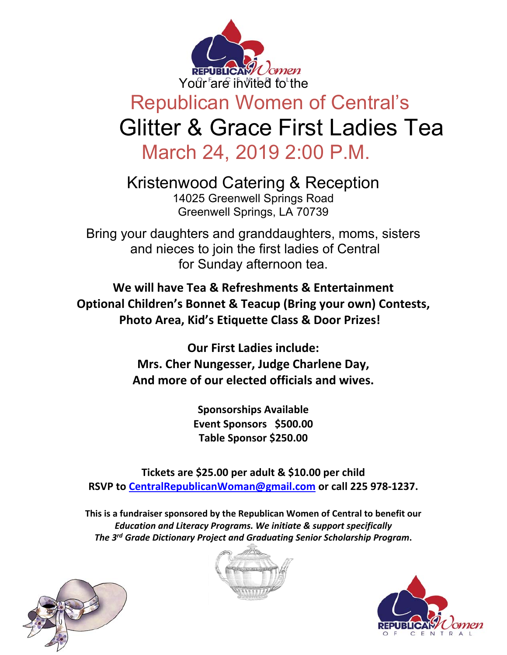

## Republican Women of Central's Glitter & Grace First Ladies Tea March 24, 2019 2:00 P.M.

Kristenwood Catering & Reception 14025 Greenwell Springs Road Greenwell Springs, LA 70739

Bring your daughters and granddaughters, moms, sisters and nieces to join the first ladies of Central for Sunday afternoon tea.

**We will have Tea & Refreshments & Entertainment Optional Children's Bonnet & Teacup (Bring your own) Contests, Photo Area, Kid's Etiquette Class & Door Prizes!** 

> **Our First Ladies include: Mrs. Cher Nungesser, Judge Charlene Day, And more of our elected officials and wives.**

> > **Sponsorships Available Event Sponsors \$500.00 Table Sponsor \$250.00**

**Tickets are \$25.00 per adult & \$10.00 per child RSVP to CentralRepublicanWoman@gmail.com or call 225 978‐1237.** 

**This is a fundraiser sponsored by the Republican Women of Central to benefit our**  *Education and Literacy Programs. We initiate & support specifically The 3rd Grade Dictionary Project and Graduating Senior Scholarship Program***.**